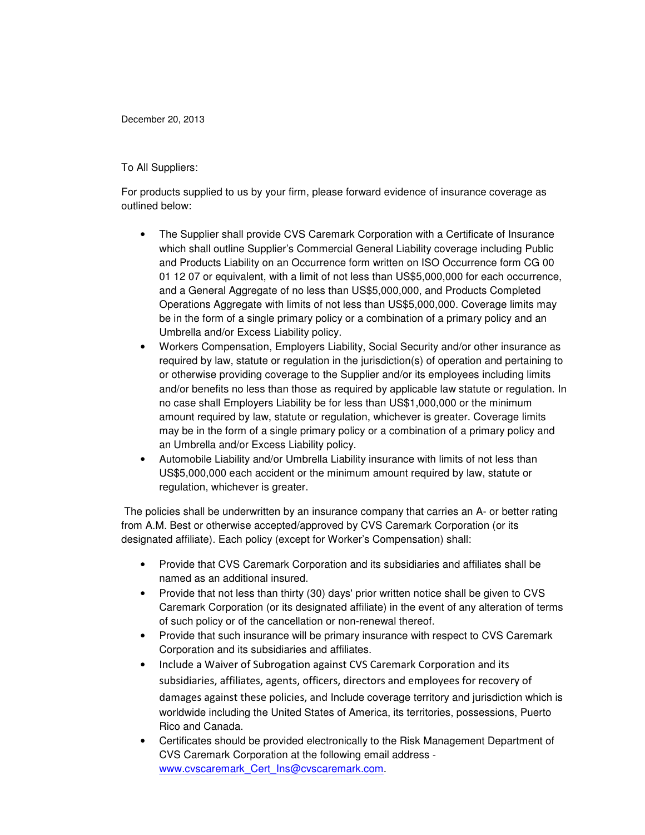December 20, 2013

## To All Suppliers:

For products supplied to us by your firm, please forward evidence of insurance coverage as outlined below:

- The Supplier shall provide CVS Caremark Corporation with a Certificate of Insurance which shall outline Supplier's Commercial General Liability coverage including Public and Products Liability on an Occurrence form written on ISO Occurrence form CG 00 01 12 07 or equivalent, with a limit of not less than US\$5,000,000 for each occurrence, and a General Aggregate of no less than US\$5,000,000, and Products Completed Operations Aggregate with limits of not less than US\$5,000,000. Coverage limits may be in the form of a single primary policy or a combination of a primary policy and an Umbrella and/or Excess Liability policy.
- Workers Compensation, Employers Liability, Social Security and/or other insurance as required by law, statute or regulation in the jurisdiction(s) of operation and pertaining to or otherwise providing coverage to the Supplier and/or its employees including limits and/or benefits no less than those as required by applicable law statute or regulation. In no case shall Employers Liability be for less than US\$1,000,000 or the minimum amount required by law, statute or regulation, whichever is greater. Coverage limits may be in the form of a single primary policy or a combination of a primary policy and an Umbrella and/or Excess Liability policy.
- Automobile Liability and/or Umbrella Liability insurance with limits of not less than US\$5,000,000 each accident or the minimum amount required by law, statute or regulation, whichever is greater.

 The policies shall be underwritten by an insurance company that carries an A- or better rating from A.M. Best or otherwise accepted/approved by CVS Caremark Corporation (or its designated affiliate). Each policy (except for Worker's Compensation) shall:

- Provide that CVS Caremark Corporation and its subsidiaries and affiliates shall be named as an additional insured.
- Provide that not less than thirty (30) days' prior written notice shall be given to CVS Caremark Corporation (or its designated affiliate) in the event of any alteration of terms of such policy or of the cancellation or non-renewal thereof.
- Provide that such insurance will be primary insurance with respect to CVS Caremark Corporation and its subsidiaries and affiliates.
- Include a Waiver of Subrogation against CVS Caremark Corporation and its subsidiaries, affiliates, agents, officers, directors and employees for recovery of damages against these policies, and Include coverage territory and jurisdiction which is worldwide including the United States of America, its territories, possessions, Puerto Rico and Canada.
- Certificates should be provided electronically to the Risk Management Department of CVS Caremark Corporation at the following email address www.cvscaremark\_Cert\_Ins@cvscaremark.com.